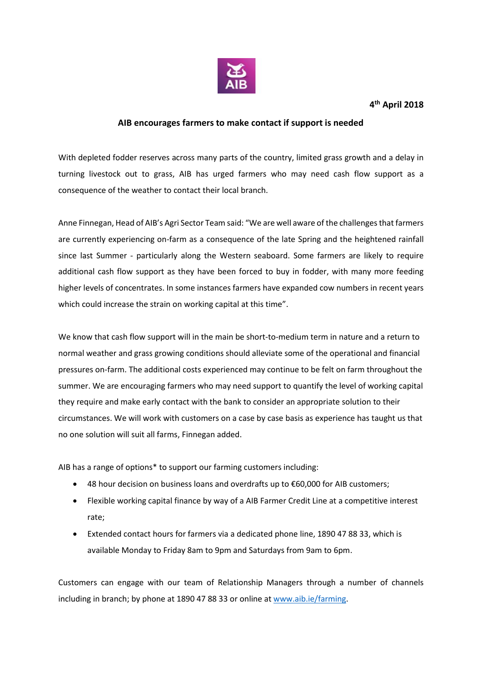

**4 th April 2018**

## **AIB encourages farmers to make contact if support is needed**

With depleted fodder reserves across many parts of the country, limited grass growth and a delay in turning livestock out to grass, AIB has urged farmers who may need cash flow support as a consequence of the weather to contact their local branch.

Anne Finnegan, Head of AIB's Agri Sector Team said: "We are well aware of the challenges that farmers are currently experiencing on-farm as a consequence of the late Spring and the heightened rainfall since last Summer - particularly along the Western seaboard. Some farmers are likely to require additional cash flow support as they have been forced to buy in fodder, with many more feeding higher levels of concentrates. In some instances farmers have expanded cow numbers in recent years which could increase the strain on working capital at this time".

We know that cash flow support will in the main be short-to-medium term in nature and a return to normal weather and grass growing conditions should alleviate some of the operational and financial pressures on-farm. The additional costs experienced may continue to be felt on farm throughout the summer. We are encouraging farmers who may need support to quantify the level of working capital they require and make early contact with the bank to consider an appropriate solution to their circumstances. We will work with customers on a case by case basis as experience has taught us that no one solution will suit all farms, Finnegan added.

AIB has a range of options\* to support our farming customers including:

- 48 hour decision on business loans and overdrafts up to €60,000 for AIB customers;
- Flexible working capital finance by way of a AIB Farmer Credit Line at a competitive interest rate;
- Extended contact hours for farmers via a dedicated phone line, 1890 47 88 33, which is available Monday to Friday 8am to 9pm and Saturdays from 9am to 6pm.

Customers can engage with our team of Relationship Managers through a number of channels including in branch; by phone at 1890 47 88 33 or online a[t www.aib.ie/farming.](http://www.aib.ie/farming)